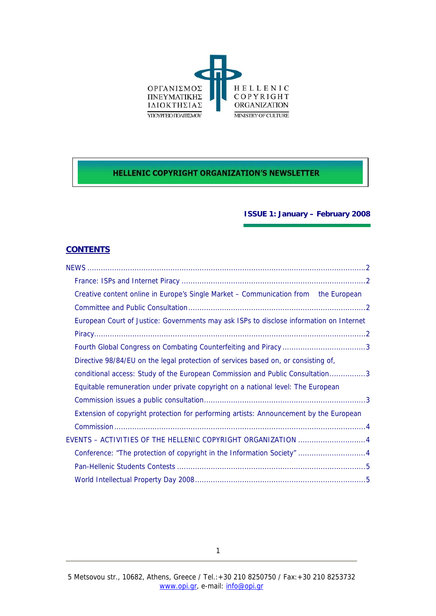

# **HELLENIC COPYRIGHT ORGANIZATION'S NEWSLETTER**

## **ISSUE 1: January – February 2008**

# **CONTENTS**

| Creative content online in Europe's Single Market – Communication from the European     |
|-----------------------------------------------------------------------------------------|
|                                                                                         |
| European Court of Justice: Governments may ask ISPs to disclose information on Internet |
|                                                                                         |
|                                                                                         |
| Directive 98/84/EU on the legal protection of services based on, or consisting of,      |
| conditional access: Study of the European Commission and Public Consultation3           |
| Equitable remuneration under private copyright on a national level: The European        |
|                                                                                         |
| Extension of copyright protection for performing artists: Announcement by the European  |
|                                                                                         |
| EVENTS - ACTIVITIES OF THE HELLENIC COPYRIGHT ORGANIZATION 4                            |
|                                                                                         |
|                                                                                         |
|                                                                                         |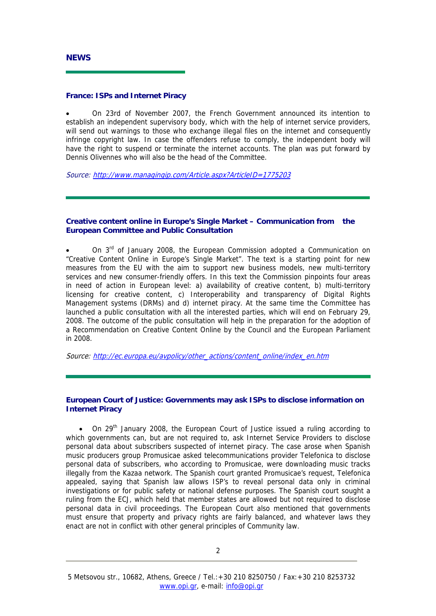#### <span id="page-1-0"></span>**France: ISPs and Internet Piracy**

• On 23rd of November 2007, the French Government announced its intention to establish an independent supervisory body, which with the help of internet service providers, will send out warnings to those who exchange illegal files on the internet and consequently infringe copyright law. In case the offenders refuse to comply, the independent body will have the right to suspend or terminate the internet accounts. The plan was put forward by Dennis Olivennes who will also be the head of the Committee.

Source: <http://www.managingip.com/Article.aspx?ArticleID=1775203>

### **Creative content online in Europe's Single Market – Communication from the European Committee and Public Consultation**

On  $3<sup>rd</sup>$  of January 2008, the European Commission adopted a Communication on "Creative Content Online in Europe's Single Market". The text is a starting point for new measures from the EU with the aim to support new business models, new multi-territory services and new consumer-friendly offers. In this text the Commission pinpoints four areas in need of action in European level: a) availability of creative content, b) multi-territory licensing for creative content, c) Interoperability and transparency of Digital Rights Management systems (DRMs) and d) internet piracy. At the same time the Committee has launched a public consultation with all the interested parties, which will end on February 29, 2008. The outcome of the public consultation will help in the preparation for the adoption of a Recommendation on Creative Content Online by the Council and the European Parliament in 2008.

Source: [http://ec.europa.eu/avpolicy/other\\_actions/content\\_online/index\\_en.htm](http://ec.europa.eu/avpolicy/other_actions/content_online/index_en.htm)

#### **European Court of Justice: Governments may ask ISPs to disclose information on Internet Piracy**

• On 29<sup>th</sup> January 2008, the European Court of Justice issued a ruling according to which governments can, but are not required to, ask Internet Service Providers to disclose personal data about subscribers suspected of internet piracy. The case arose when Spanish music producers group Promusicae asked telecommunications provider Telefonica to disclose personal data of subscribers, who according to Promusicae, were downloading music tracks illegally from the Kazaa network. The Spanish court granted Promusicae's request, Telefonica appealed, saying that Spanish law allows ISP's to reveal personal data only in criminal investigations or for public safety or national defense purposes. The Spanish court sought a ruling from the ECJ, which held that member states are allowed but not required to disclose personal data in civil proceedings. The European Court also mentioned that governments must ensure that property and privacy rights are fairly balanced, and whatever laws they enact are not in conflict with other general principles of Community law.

<sup>5</sup> Metsovou str., 10682, Athens, Greece / Tel.:+30 210 8250750 / Fax:+30 210 8253732 www.opi.gr, e-mail: info@opi.gr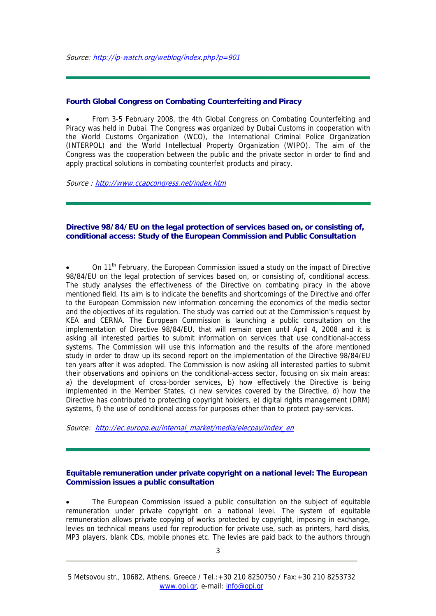#### <span id="page-2-0"></span>**Fourth Global Congress on Combating Counterfeiting and Piracy**

• From 3-5 February 2008, the 4th Global Congress on Combating Counterfeiting and Piracy was held in Dubai. The Congress was organized by Dubai Customs in cooperation with the World Customs Organization (WCO), the International Criminal Police Organization (INTERPOL) and the World Intellectual Property Organization (WIPO). The aim of the Congress was the cooperation between the public and the private sector in order to find and apply practical solutions in combating counterfeit products and piracy.

Source : <http://www.ccapcongress.net/index.htm>

#### **Directive 98/84/EU on the legal protection of services based on, or consisting of, conditional access: Study of the European Commission and Public Consultation**

• On 11th February, the European Commission issued a study on the impact of Directive 98/84/EU on the legal protection of services based on, or consisting of, conditional access. The study analyses the effectiveness of the Directive on combating piracy in the above mentioned field. Its aim is to indicate the benefits and shortcomings of the Directive and offer to the European Commission new information concerning the economics of the media sector and the objectives of its regulation. The study was carried out at the Commission's request by KEA and CERNA. The European Commission is launching a public consultation on the implementation of Directive 98/84/EU, that will remain open until April 4, 2008 and it is asking all interested parties to submit information on services that use conditional-access systems. The Commission will use this information and the results of the afore mentioned study in order to draw up its second report on the implementation of the Directive 98/84/EU ten years after it was adopted. The Commission is now asking all interested parties to submit their observations and opinions on the conditional-access sector, focusing on six main areas: a) the development of cross-border services, b) how effectively the Directive is being implemented in the Member States, c) new services covered by the Directive, d) how the Directive has contributed to protecting copyright holders, e) digital rights management (DRM) systems, f) the use of conditional access for purposes other than to protect pay-services.

Source: [http://ec.europa.eu/internal\\_market/media/elecpay/index\\_en](http://ec.europa.eu/internal_market/media/elecpay/index_en)

#### **Equitable remuneration under private copyright on a national level: The European Commission issues a public consultation**

The European Commission issued a public consultation on the subject of equitable remuneration under private copyright on a national level. The system of equitable remuneration allows private copying of works protected by copyright, imposing in exchange, levies on technical means used for reproduction for private use, such as printers, hard disks, MP3 players, blank CDs, mobile phones etc. The levies are paid back to the authors through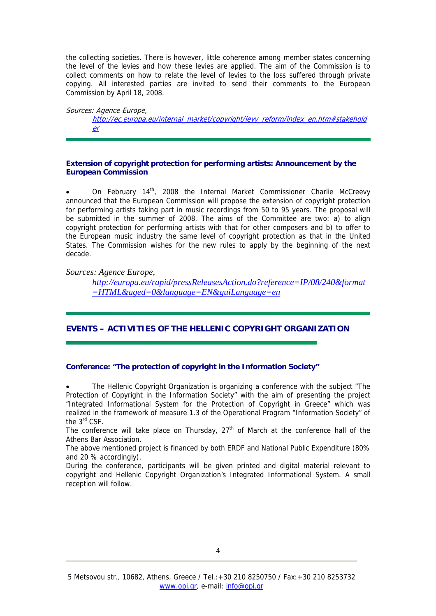<span id="page-3-0"></span>the collecting societies. There is however, little coherence among member states concerning the level of the levies and how these levies are applied. The aim of the Commission is to collect comments on how to relate the level of levies to the loss suffered through private copying. All interested parties are invited to send their comments to the European Commission by April 18, 2008.

Sources: Agence Europe,

[http://ec.europa.eu/internal\\_market/copyright/levy\\_reform/index\\_en.htm#stakehold](http://ec.europa.eu/internal_market/copyright/levy_reform/index_en.htm#stakeholder) [er](http://ec.europa.eu/internal_market/copyright/levy_reform/index_en.htm#stakeholder)

## **Extension of copyright protection for performing artists: Announcement by the European Commission**

On February 14<sup>th</sup>, 2008 the Internal Market Commissioner Charlie McCreevy announced that the European Commission will propose the extension of copyright protection for performing artists taking part in music recordings from 50 to 95 years. The proposal will be submitted in the summer of 2008. The aims of the Committee are two: a) to align copyright protection for performing artists with that for other composers and b) to offer to the European music industry the same level of copyright protection as that in the United States. The Commission wishes for the new rules to apply by the beginning of the next decade.

## *Sources: Agence Europe,*

*[http://europa.eu/rapid/pressReleasesAction.do?reference=IP/08/240&format](http://europa.eu/rapid/pressReleasesAction.do?reference=IP/08/240&format=HTML&aged=0&language=EN&guiLanguage=en) [=HTML&aged=0&language=EN&guiLanguage=en](http://europa.eu/rapid/pressReleasesAction.do?reference=IP/08/240&format=HTML&aged=0&language=EN&guiLanguage=en)*

# **EVENTS – ACTIVITIES OF THE HELLENIC COPYRIGHT ORGANIZATION**

# **Conference: "The protection of copyright in the Information Society"**

• The Hellenic Copyright Organization is organizing a conference with the subject "The Protection of Copyright in the Information Society" with the aim of presenting the project "Integrated Informational System for the Protection of Copyright in Greece" which was realized in the framework of measure 1.3 of the Operational Program "Information Society" of the 3<sup>rd</sup> CSF.

The conference will take place on Thursday,  $27<sup>th</sup>$  of March at the conference hall of the Athens Bar Association.

The above mentioned project is financed by both ERDF and National Public Expenditure (80% and 20 % accordingly).

During the conference, participants will be given printed and digital material relevant to copyright and Hellenic Copyright Organization's Integrated Informational System. A small reception will follow.